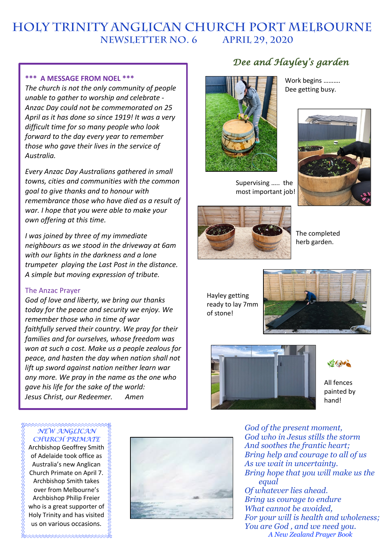# **HOLY TRINITY Anglican church PORT MELBOURNE NEWSLETTER No. 6 APRIL 29, 2020**

#### **\*\*\* A MESSAGE FROM NOEL \*\*\***

*The church is not the only community of people unable to gather to worship and celebrate - Anzac Day could not be commemorated on 25 April as it has done so since 1919! It was a very difficult time for so many people who look forward to the day every year to remember those who gave their lives in the service of Australia.* 

*Every Anzac Day Australians gathered in small towns, cities and communities with the common goal to give thanks and to honour with remembrance those who have died as a result of war. I hope that you were able to make your own offering at this time.* 

*I was joined by three of my immediate neighbours as we stood in the driveway at 6am with our lights in the darkness and a lone trumpeter playing the Last Post in the distance. A simple but moving expression of tribute.*

#### The Anzac Prayer

*God of love and liberty, we bring our thanks today for the peace and security we enjoy. We remember those who in time of war faithfully served their country. We pray for their families and for ourselves, whose freedom was won at such a cost. Make us a people zealous for peace, and hasten the day when nation shall not lift up sword against nation neither learn war any more. We pray in the name as the one who gave his life for the sake of the world: Jesus Christ, our Redeemer. Amen*

## *NEW ANGLICAN CHURCH PRIMATE*

Archbishop Geoffrey Smith of Adelaide took office as Australia's new Anglican Church Primate on April 7. Archbishop Smith takes over from Melbourne's Archbishop Philip Freier who is a great supporter of Holy Trinity and has visited us on various occasions.



## *Dee and Hayley's garden*



Supervising ….. the most important job!

Work begins ………. Dee getting busy.



The completed herb garden.

Hayley getting ready to lay 7mm of stone!





 $V_{\sigma}$  , and

All fences painted by hand!

*God of the present moment, God who in Jesus stills the storm And soothes the frantic heart; Bring help and courage to all of us As we wait in uncertainty. Bring hope that you will make us the equal Of whatever lies ahead. Bring us courage to endure What cannot be avoided, For your will is health and wholeness; You are God , and we need you. A New Zealand Prayer Book*